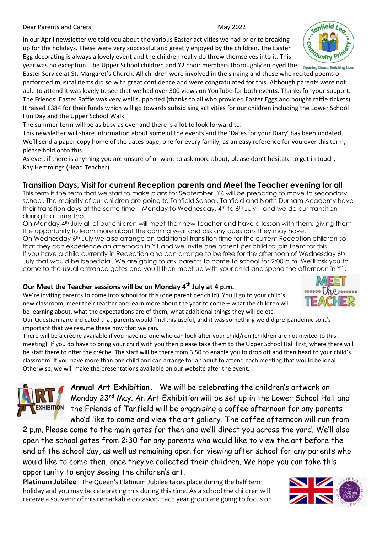**Dear Parents and Carers, National State of American Carers, May 2022** 

#### In our April newsletter we told you about the various Easter activities we had prior to breaking up for the holidays. These were very successful and greatly enjoyed by the children. The Easter Egg decorating is always a lovely event and the children really do throw themselves into it. This year was no exception. The Upper School children and Y2 choir members thoroughly enjoyed the <sub>Opening Doors, Enriching Lives</sub>

Easter Service at St. Margaret's Church. All children were involved in the singing and those who recited poems or performed musical items did so with great confidence and were congratulated for this. Although parents were not able to attend it was lovely to see that we had over 300 views on YouTube for both events. Thanks for your support. The Friends' Easter Raffle was very well supported (thanks to all who provided Easter Eggs and bought raffle tickets). It raised £384 for their funds which will go towards subsidising activities for our children including the Lower School Fun Day and the Upper School Walk.

The summer term will be as busy as ever and there is a lot to look forward to.

This newsletter will share information about some of the events and the 'Dates for your Diary' has been updated. We'll send a paper copy home of the dates page, one for every family, as an easy reference for you over this term, please hold onto this.

As ever, if there is anything you are unsure of or want to ask more about, please don't hesitate to get in touch. Kay Hemmings (Head Teacher)

#### **Transition Days, Visit for current Reception parents and Meet the Teacher evening for all**

This term is the term that we start to make plans for September. Y6 will be preparing to move to secondary school. The majority of our children are going to Tanfield School. Tanfield and North Durham Academy have their transition days at the same time – Monday to Wednesday,  $4<sup>th</sup>$  to  $6<sup>th</sup>$  July – and we do our transition during that time too.

On Monday 4th July all of our children will meet their new teacher and have a lesson with them, giving them the opportunity to learn more about the coming year and ask any questions they may have.

On Wednesday 6<sup>th</sup> July we also arrange an additional transition time for the current Reception children so that they can experience an afternoon in Y1 and we invite one parent per child to join them for this. If you have a child currently in Reception and can arrange to be free for the afternoon of Wednesday 6th July that would be beneficial. We are going to ask parents to come to school for 2:00 p.m. We'll ask you to come to the usual entrance gates and you'll then meet up with your child and spend the afternoon in Y1.

### **Our Meet the Teacher sessions will be on Monday 4th July at 4 p.m.**

We're inviting parents to come into school for this (one parent per child). You'll go to your child's new classroom, meet their teacher and learn more about the year to come – what the children will be learning about, what the expectations are of them, what additional things they will do etc.

Our Questionnaire indicated that parents would find this useful, and it was something we did pre-pandemic so it's important that we resume these now that we can.

There will be a crèche available if you have no-one who can look after your child/ren (children are not invited to this meeting). If you do have to bring your child with you then please take them to the Upper School Hall first, where there will be staff there to offer the crèche. The staff will be there from 3:50 to enable you to drop off and then head to your child's classroom. If you have more than one child and can arrange for an adult to attend each meeting that would be ideal. Otherwise, we will make the presentations available on our website after the event.



**Annual Art Exhibition.** We will be celebrating the children's artwork on Monday 23rd May. An Art Exhibition will be set up in the Lower School Hall and the Friends of Tanfield will be organising a coffee afternoon for any parents who'd like to come and view the art gallery. The coffee afternoon will run from

2 p.m. Please come to the main gates for then and we'll direct you across the yard. We'll also open the school gates from 2:30 for any parents who would like to view the art before the end of the school day, as well as remaining open for viewing after school for any parents who would like to come then, once they've collected their children. We hope you can take this opportunity to enjoy seeing the children's art.

**Platinum Jubilee** The Queen's Platinum Jubilee takes place during the half term holiday and you may be celebrating this during this time. As a school the children will receive a souvenir of this remarkable occasion. Each year group are going to focus on





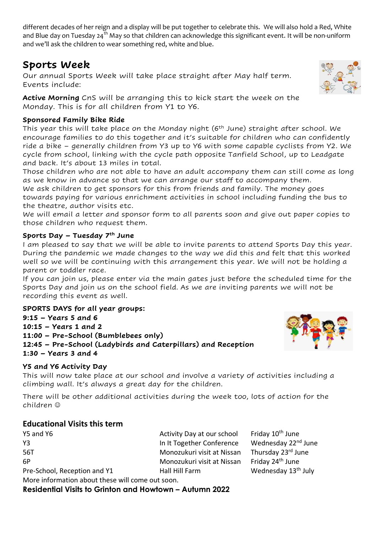different decades of her reign and a display will be put together to celebrate this. We will also hold a Red, White and Blue day on Tuesday 24<sup>th</sup> May so that children can acknowledge this significant event. It will be non-uniform and we'll ask the children to wear something red, white and blue.

# **Sports Week**

Our annual Sports Week will take place straight after May half term. Events include:

**Active Morning** CnS will be arranging this to kick start the week on the Monday. This is for all children from Y1 to Y6.

## **Sponsored Family Bike Ride**

This year this will take place on the Monday night (6<sup>th</sup> June) straight after school. We encourage families to do this together and it's suitable for children who can confidently ride a bike – generally children from Y3 up to Y6 with some capable cyclists from Y2. We cycle from school, linking with the cycle path opposite Tanfield School, up to Leadgate and back. It's about 13 miles in total.

Those children who are not able to have an adult accompany them can still come as long as we know in advance so that we can arrange our staff to accompany them.

We ask children to get sponsors for this from friends and family. The money goes towards paying for various enrichment activities in school including funding the bus to the theatre, author visits etc.

We will email a letter and sponsor form to all parents soon and give out paper copies to those children who request them.

### **Sports Day – Tuesday 7th June**

I am pleased to say that we will be able to invite parents to attend Sports Day this year. During the pandemic we made changes to the way we did this and felt that this worked well so we will be continuing with this arrangement this year. We will not be holding a parent or toddler race.

If you can join us, please enter via the main gates just before the scheduled time for the Sports Day and join us on the school field. As we are inviting parents we will not be recording this event as well.

**SPORTS DAYS for all year groups: 9:15 – Years 5 and 6 10:15 – Years 1 and 2 11:00 – Pre-School (Bumblebees only) 12:45 – Pre-School (Ladybirds and Caterpillars) and Reception 1:30 – Years 3 and 4**

### **Y5 and Y6 Activity Day**

This will now take place at our school and involve a variety of activities including a climbing wall. It's always a great day for the children.

There will be other additional activities during the week too, lots of action for the children ☺

## **Educational Visits this term**

Y5 and Y6 Activity Day at our school Friday 10<sup>th</sup> June Y3 In It Together Conference Wednesday 22<sup>nd</sup> June 56T Monozukuri visit at Nissan Thursday 23rd June 6P Monozukuri visit at Nissan Friday 24th June Pre-School, Reception and Y1 Hall Hill Farm Wednesday 13<sup>th</sup> July More information about these will come out soon.

**Residential Visits to Grinton and Howtown – Autumn 2022**



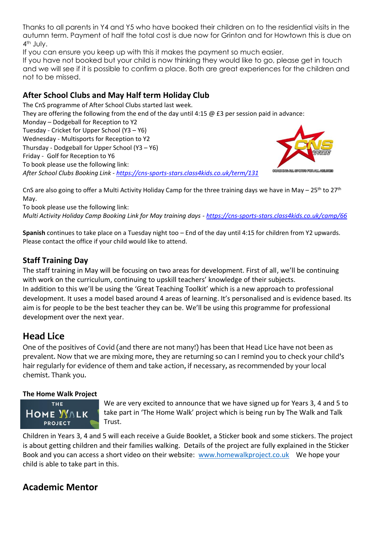Thanks to all parents in Y4 and Y5 who have booked their children on to the residential visits in the autumn term. Payment of half the total cost is due now for Grinton and for Howtown this is due on 4th July.

If you can ensure you keep up with this it makes the payment so much easier.

If you have not booked but your child is now thinking they would like to go, please get in touch and we will see if it is possible to confirm a place. Both are great experiences for the children and not to be missed.

### **After School Clubs and May Half term Holiday Club**

The CnS programme of After School Clubs started last week.

They are offering the following from the end of the day until 4:15  $\omega$  £3 per session paid in advance:

Monday – Dodgeball for Reception to Y2 Tuesday - Cricket for Upper School (Y3 – Y6)

Wednesday - Multisports for Reception to Y2

Thursday - Dodgeball for Upper School (Y3 – Y6)

Friday - Golf for Reception to Y6

To book please use the following link:

*After School Clubs Booking Link - <https://cns-sports-stars.class4kids.co.uk/term/131>*



CnS are also going to offer a Multi Activity Holiday Camp for the three training days we have in May –  $25^{th}$  to  $27^{th}$ May.

To book please use the following link:

*Multi Activity Holiday Camp Booking Link for May training days - <https://cns-sports-stars.class4kids.co.uk/camp/66>*

**Spanish** continues to take place on a Tuesday night too – End of the day until 4:15 for children from Y2 upwards. Please contact the office if your child would like to attend.

## **Staff Training Day**

The staff training in May will be focusing on two areas for development. First of all, we'll be continuing with work on the curriculum, continuing to upskill teachers' knowledge of their subjects. In addition to this we'll be using the 'Great Teaching Toolkit' which is a new approach to professional development. It uses a model based around 4 areas of learning. It's personalised and is evidence based. Its aim is for people to be the best teacher they can be. We'll be using this programme for professional development over the next year.

# **Head Lice**

One of the positives of Covid (and there are not many!) has been that Head Lice have not been as prevalent. Now that we are mixing more, they are returning so can I remind you to check your child's hair regularly for evidence of them and take action, if necessary, as recommended by your local chemist. Thank you.

#### **The Home Walk Project**



We are very excited to announce that we have signed up for Years 3, 4 and 5 to take part in 'The Home Walk' project which is being run by The Walk and Talk Trust.

Children in Years 3, 4 and 5 will each receive a Guide Booklet, a Sticker book and some stickers. The project is about getting children and their families walking. Details of the project are fully explained in the Sticker Book and you can access a short video on their website: [www.homewalkproject.co.uk](http://www.homewalkproject.co.uk/) We hope your child is able to take part in this.

## **Academic Mentor**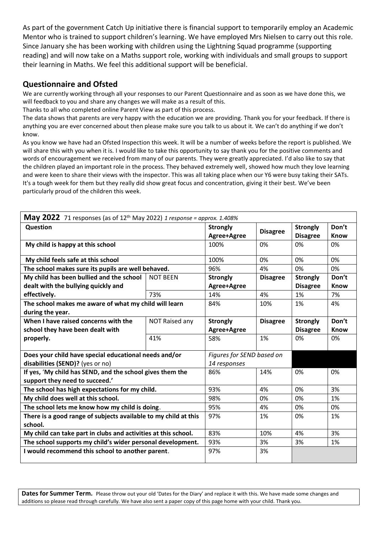As part of the government Catch Up initiative there is financial support to temporarily employ an Academic Mentor who is trained to support children's learning. We have employed Mrs Nielsen to carry out this role. Since January she has been working with children using the Lightning Squad programme (supporting reading) and will now take on a Maths support role, working with individuals and small groups to support their learning in Maths. We feel this additional support will be beneficial.

#### **Questionnaire and Ofsted**

We are currently working through all your responses to our Parent Questionnaire and as soon as we have done this, we will feedback to you and share any changes we will make as a result of this.

Thanks to all who completed online Parent View as part of this process.

The data shows that parents are very happy with the education we are providing. Thank you for your feedback. If there is anything you are ever concerned about then please make sure you talk to us about it. We can't do anything if we don't know.

As you know we have had an Ofsted Inspection this week. It will be a number of weeks before the report is published. We will share this with you when it is. I would like to take this opportunity to say thank you for the positive comments and words of encouragement we received from many of our parents. They were greatly appreciated. I'd also like to say that the children played an important role in the process. They behaved extremely well, showed how much they love learning and were keen to share their views with the inspector. This was all taking place when our Y6 were busy taking their SATs. It's a tough week for them but they really did show great focus and concentration, giving it their best. We've been particularly proud of the children this week.

| <b>May 2022</b> 71 responses (as of $12^{th}$ May 2022) 1 response = approx. 1.408% |                 |                           |                 |                 |             |  |
|-------------------------------------------------------------------------------------|-----------------|---------------------------|-----------------|-----------------|-------------|--|
| Question                                                                            |                 | <b>Strongly</b>           |                 | <b>Strongly</b> | Don't       |  |
|                                                                                     |                 | Agree+Agree               | <b>Disagree</b> | <b>Disagree</b> | <b>Know</b> |  |
| My child is happy at this school                                                    |                 | 100%                      | 0%              | 0%              | 0%          |  |
| My child feels safe at this school                                                  |                 | 100%                      | 0%              | 0%              | 0%          |  |
| The school makes sure its pupils are well behaved.                                  |                 | 96%                       | 4%              | 0%              | 0%          |  |
| My child has been bullied and the school                                            | <b>NOT BEEN</b> | <b>Strongly</b>           | <b>Disagree</b> | <b>Strongly</b> | Don't       |  |
| dealt with the bullying quickly and                                                 |                 | Agree+Agree               |                 | <b>Disagree</b> | <b>Know</b> |  |
| effectively.                                                                        | 73%             | 14%                       | 4%              | 1%              | 7%          |  |
| The school makes me aware of what my child will learn                               |                 | 84%                       | 10%             | 1%              | 4%          |  |
| during the year.                                                                    |                 |                           |                 |                 |             |  |
| When I have raised concerns with the                                                | NOT Raised any  | <b>Strongly</b>           | <b>Disagree</b> | <b>Strongly</b> | Don't       |  |
| school they have been dealt with                                                    |                 | Agree+Agree               |                 | <b>Disagree</b> | Know        |  |
| properly.                                                                           | 41%             | 58%                       | 1%              | 0%              | 0%          |  |
| Does your child have special educational needs and/or                               |                 | Figures for SEND based on |                 |                 |             |  |
| disabilities (SEND)? (yes or no)                                                    |                 | 14 responses              |                 |                 |             |  |
| If yes, 'My child has SEND, and the school gives them the                           |                 | 86%                       | 14%             | 0%              | 0%          |  |
| support they need to succeed.'                                                      |                 |                           |                 |                 |             |  |
| The school has high expectations for my child.                                      |                 | 93%                       | 4%              | 0%              | 3%          |  |
| My child does well at this school.                                                  |                 | 98%                       | 0%              | 0%              | 1%          |  |
| The school lets me know how my child is doing.                                      |                 | 95%                       | 4%              | 0%              | 0%          |  |
| There is a good range of subjects available to my child at this                     |                 | 97%                       | 1%              | 0%              | 1%          |  |
| school.                                                                             |                 |                           |                 |                 |             |  |
| My child can take part in clubs and activities at this school.                      |                 | 83%                       | 10%             | 4%              | 3%          |  |
| The school supports my child's wider personal development.                          |                 | 93%                       | 3%              | 3%              | 1%          |  |
| I would recommend this school to another parent.                                    |                 | 97%                       | 3%              |                 |             |  |

**Dates for Summer Term.** Please throw out your old 'Dates for the Diary' and replace it with this. We have made some changes and additions so please read through carefully. We have also sent a paper copy of this page home with your child. Thank you.